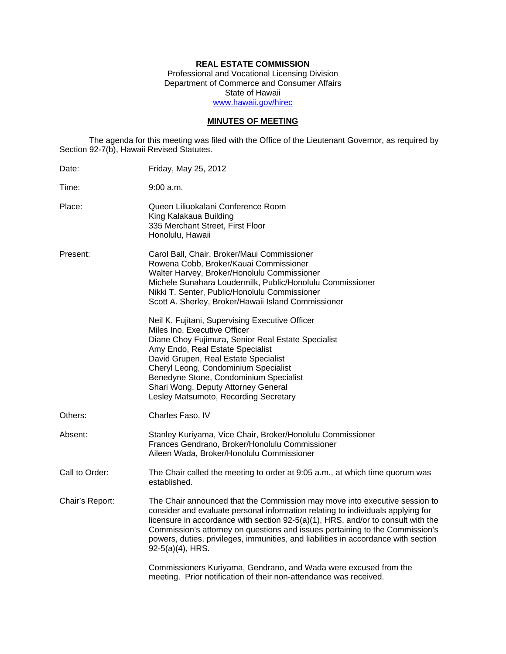# **REAL ESTATE COMMISSION**

Professional and Vocational Licensing Division Department of Commerce and Consumer Affairs State of Hawaii www.hawaii.gov/hirec

## **MINUTES OF MEETING**

The agenda for this meeting was filed with the Office of the Lieutenant Governor, as required by Section 92-7(b), Hawaii Revised Statutes.

| Date:           | Friday, May 25, 2012                                                                                                                                                                                                                                                                                                                                                                                                                           |
|-----------------|------------------------------------------------------------------------------------------------------------------------------------------------------------------------------------------------------------------------------------------------------------------------------------------------------------------------------------------------------------------------------------------------------------------------------------------------|
| Time:           | 9:00 a.m.                                                                                                                                                                                                                                                                                                                                                                                                                                      |
| Place:          | Queen Liliuokalani Conference Room<br>King Kalakaua Building<br>335 Merchant Street, First Floor<br>Honolulu, Hawaii                                                                                                                                                                                                                                                                                                                           |
| Present:        | Carol Ball, Chair, Broker/Maui Commissioner<br>Rowena Cobb, Broker/Kauai Commissioner<br>Walter Harvey, Broker/Honolulu Commissioner<br>Michele Sunahara Loudermilk, Public/Honolulu Commissioner<br>Nikki T. Senter, Public/Honolulu Commissioner<br>Scott A. Sherley, Broker/Hawaii Island Commissioner                                                                                                                                      |
|                 | Neil K. Fujitani, Supervising Executive Officer<br>Miles Ino, Executive Officer<br>Diane Choy Fujimura, Senior Real Estate Specialist<br>Amy Endo, Real Estate Specialist<br>David Grupen, Real Estate Specialist<br>Cheryl Leong, Condominium Specialist<br>Benedyne Stone, Condominium Specialist<br>Shari Wong, Deputy Attorney General<br>Lesley Matsumoto, Recording Secretary                                                            |
| Others:         | Charles Faso, IV                                                                                                                                                                                                                                                                                                                                                                                                                               |
| Absent:         | Stanley Kuriyama, Vice Chair, Broker/Honolulu Commissioner<br>Frances Gendrano, Broker/Honolulu Commissioner<br>Aileen Wada, Broker/Honolulu Commissioner                                                                                                                                                                                                                                                                                      |
| Call to Order:  | The Chair called the meeting to order at 9:05 a.m., at which time quorum was<br>established.                                                                                                                                                                                                                                                                                                                                                   |
| Chair's Report: | The Chair announced that the Commission may move into executive session to<br>consider and evaluate personal information relating to individuals applying for<br>licensure in accordance with section 92-5(a)(1), HRS, and/or to consult with the<br>Commission's attorney on questions and issues pertaining to the Commission's<br>powers, duties, privileges, immunities, and liabilities in accordance with section<br>$92-5(a)(4)$ , HRS. |
|                 | Commissioners Kuriyama, Gendrano, and Wada were excused from the<br>meeting. Prior notification of their non-attendance was received.                                                                                                                                                                                                                                                                                                          |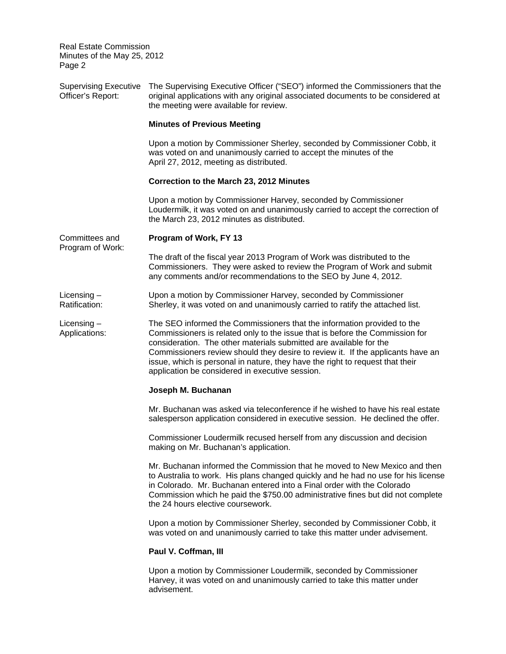| <b>Supervising Executive</b><br>Officer's Report: | The Supervising Executive Officer ("SEO") informed the Commissioners that the<br>original applications with any original associated documents to be considered at<br>the meeting were available for review.                                                                                                                                                                                                                                          |  |
|---------------------------------------------------|------------------------------------------------------------------------------------------------------------------------------------------------------------------------------------------------------------------------------------------------------------------------------------------------------------------------------------------------------------------------------------------------------------------------------------------------------|--|
|                                                   | <b>Minutes of Previous Meeting</b>                                                                                                                                                                                                                                                                                                                                                                                                                   |  |
|                                                   | Upon a motion by Commissioner Sherley, seconded by Commissioner Cobb, it<br>was voted on and unanimously carried to accept the minutes of the<br>April 27, 2012, meeting as distributed.                                                                                                                                                                                                                                                             |  |
|                                                   | Correction to the March 23, 2012 Minutes                                                                                                                                                                                                                                                                                                                                                                                                             |  |
|                                                   | Upon a motion by Commissioner Harvey, seconded by Commissioner<br>Loudermilk, it was voted on and unanimously carried to accept the correction of<br>the March 23, 2012 minutes as distributed.                                                                                                                                                                                                                                                      |  |
| Committees and<br>Program of Work:                | Program of Work, FY 13                                                                                                                                                                                                                                                                                                                                                                                                                               |  |
|                                                   | The draft of the fiscal year 2013 Program of Work was distributed to the<br>Commissioners. They were asked to review the Program of Work and submit<br>any comments and/or recommendations to the SEO by June 4, 2012.                                                                                                                                                                                                                               |  |
| Licensing $-$<br>Ratification:                    | Upon a motion by Commissioner Harvey, seconded by Commissioner<br>Sherley, it was voted on and unanimously carried to ratify the attached list.                                                                                                                                                                                                                                                                                                      |  |
| Licensing $-$<br>Applications:                    | The SEO informed the Commissioners that the information provided to the<br>Commissioners is related only to the issue that is before the Commission for<br>consideration. The other materials submitted are available for the<br>Commissioners review should they desire to review it. If the applicants have an<br>issue, which is personal in nature, they have the right to request that their<br>application be considered in executive session. |  |
|                                                   | Joseph M. Buchanan                                                                                                                                                                                                                                                                                                                                                                                                                                   |  |
|                                                   | Mr. Buchanan was asked via teleconference if he wished to have his real estate<br>salesperson application considered in executive session. He declined the offer.                                                                                                                                                                                                                                                                                    |  |
|                                                   | Commissioner Loudermilk recused herself from any discussion and decision<br>making on Mr. Buchanan's application.                                                                                                                                                                                                                                                                                                                                    |  |
|                                                   | Mr. Buchanan informed the Commission that he moved to New Mexico and then<br>to Australia to work. His plans changed quickly and he had no use for his license<br>in Colorado. Mr. Buchanan entered into a Final order with the Colorado<br>Commission which he paid the \$750.00 administrative fines but did not complete<br>the 24 hours elective coursework.                                                                                     |  |
|                                                   | Upon a motion by Commissioner Sherley, seconded by Commissioner Cobb, it<br>was voted on and unanimously carried to take this matter under advisement.                                                                                                                                                                                                                                                                                               |  |
|                                                   | Paul V. Coffman, III                                                                                                                                                                                                                                                                                                                                                                                                                                 |  |
|                                                   | Upon a motion by Commissioner Loudermilk, seconded by Commissioner<br>Harvey, it was voted on and unanimously carried to take this matter under<br>advisement.                                                                                                                                                                                                                                                                                       |  |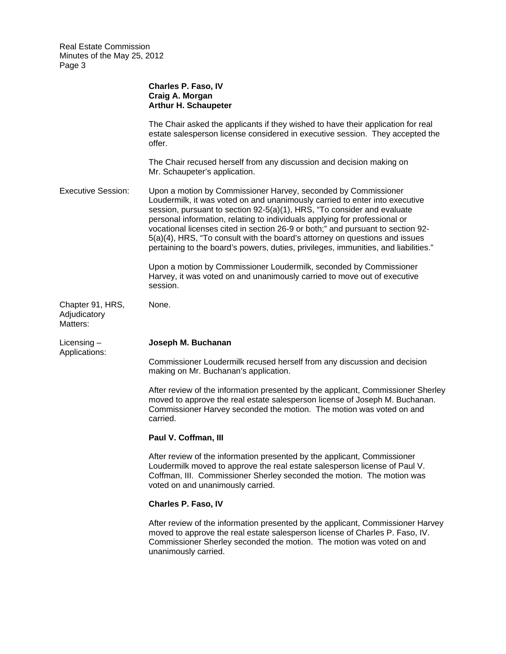|                                              | Charles P. Faso, IV<br>Craig A. Morgan<br><b>Arthur H. Schaupeter</b>                                                                                                                                                                                                                                                                                                                                                                                                                                                                                           |
|----------------------------------------------|-----------------------------------------------------------------------------------------------------------------------------------------------------------------------------------------------------------------------------------------------------------------------------------------------------------------------------------------------------------------------------------------------------------------------------------------------------------------------------------------------------------------------------------------------------------------|
|                                              | The Chair asked the applicants if they wished to have their application for real<br>estate salesperson license considered in executive session. They accepted the<br>offer.                                                                                                                                                                                                                                                                                                                                                                                     |
|                                              | The Chair recused herself from any discussion and decision making on<br>Mr. Schaupeter's application.                                                                                                                                                                                                                                                                                                                                                                                                                                                           |
| <b>Executive Session:</b>                    | Upon a motion by Commissioner Harvey, seconded by Commissioner<br>Loudermilk, it was voted on and unanimously carried to enter into executive<br>session, pursuant to section 92-5(a)(1), HRS, "To consider and evaluate<br>personal information, relating to individuals applying for professional or<br>vocational licenses cited in section 26-9 or both;" and pursuant to section 92-<br>5(a)(4), HRS, "To consult with the board's attorney on questions and issues<br>pertaining to the board's powers, duties, privileges, immunities, and liabilities." |
|                                              | Upon a motion by Commissioner Loudermilk, seconded by Commissioner<br>Harvey, it was voted on and unanimously carried to move out of executive<br>session.                                                                                                                                                                                                                                                                                                                                                                                                      |
| Chapter 91, HRS,<br>Adjudicatory<br>Matters: | None.                                                                                                                                                                                                                                                                                                                                                                                                                                                                                                                                                           |
| Licensing $-$                                | Joseph M. Buchanan                                                                                                                                                                                                                                                                                                                                                                                                                                                                                                                                              |
| Applications:                                | Commissioner Loudermilk recused herself from any discussion and decision<br>making on Mr. Buchanan's application.                                                                                                                                                                                                                                                                                                                                                                                                                                               |
|                                              | After review of the information presented by the applicant, Commissioner Sherley<br>moved to approve the real estate salesperson license of Joseph M. Buchanan.<br>Commissioner Harvey seconded the motion. The motion was voted on and<br>carried.                                                                                                                                                                                                                                                                                                             |
|                                              | Paul V. Coffman, III                                                                                                                                                                                                                                                                                                                                                                                                                                                                                                                                            |
|                                              | After review of the information presented by the applicant, Commissioner<br>Loudermilk moved to approve the real estate salesperson license of Paul V.<br>Coffman, III. Commissioner Sherley seconded the motion. The motion was<br>voted on and unanimously carried.                                                                                                                                                                                                                                                                                           |
|                                              | Charles P. Faso, IV                                                                                                                                                                                                                                                                                                                                                                                                                                                                                                                                             |
|                                              | After review of the information presented by the applicant, Commissioner Harvey<br>moved to approve the real estate salesperson license of Charles P. Faso, IV.<br>Commissioner Sherley seconded the motion. The motion was voted on and<br>unanimously carried.                                                                                                                                                                                                                                                                                                |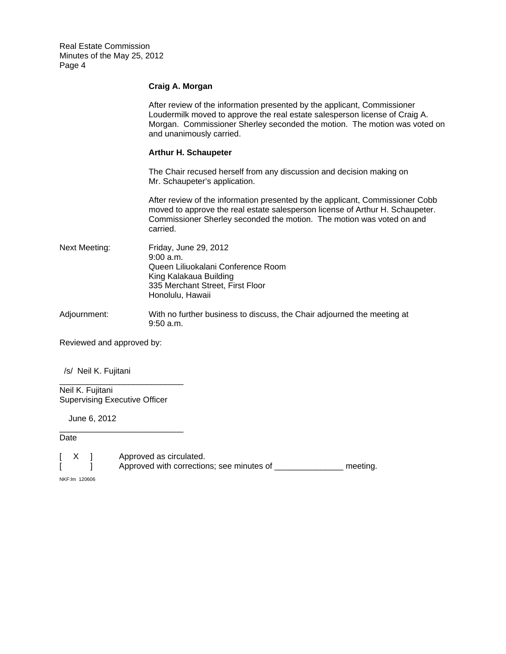## **Craig A. Morgan**

|                           | After review of the information presented by the applicant, Commissioner<br>Loudermilk moved to approve the real estate salesperson license of Craig A.<br>Morgan. Commissioner Sherley seconded the motion. The motion was voted on<br>and unanimously carried. |  |  |
|---------------------------|------------------------------------------------------------------------------------------------------------------------------------------------------------------------------------------------------------------------------------------------------------------|--|--|
|                           | <b>Arthur H. Schaupeter</b>                                                                                                                                                                                                                                      |  |  |
|                           | The Chair recused herself from any discussion and decision making on<br>Mr. Schaupeter's application.                                                                                                                                                            |  |  |
|                           | After review of the information presented by the applicant, Commissioner Cobb<br>moved to approve the real estate salesperson license of Arthur H. Schaupeter.<br>Commissioner Sherley seconded the motion. The motion was voted on and<br>carried.              |  |  |
| Next Meeting:             | Friday, June 29, 2012<br>9:00 a.m.<br>Queen Liliuokalani Conference Room<br>King Kalakaua Building<br>335 Merchant Street, First Floor<br>Honolulu, Hawaii                                                                                                       |  |  |
| Adjournment:              | With no further business to discuss, the Chair adjourned the meeting at<br>9:50 a.m.                                                                                                                                                                             |  |  |
| Reviewed and approved by: |                                                                                                                                                                                                                                                                  |  |  |

/s/ Neil K. Fujitani

Neil K. Fujitani Supervising Executive Officer

\_\_\_\_\_\_\_\_\_\_\_\_\_\_\_\_\_\_\_\_\_\_\_\_\_\_\_

\_\_\_\_\_\_\_\_\_\_\_\_\_\_\_\_\_\_\_\_\_\_\_\_\_\_\_

June 6, 2012

Date

[ X ] Approved as circulated. [ ] Approved with corrections; see minutes of \_\_\_\_\_\_\_\_\_\_\_\_\_\_\_\_ meeting.

NKF:lm 120606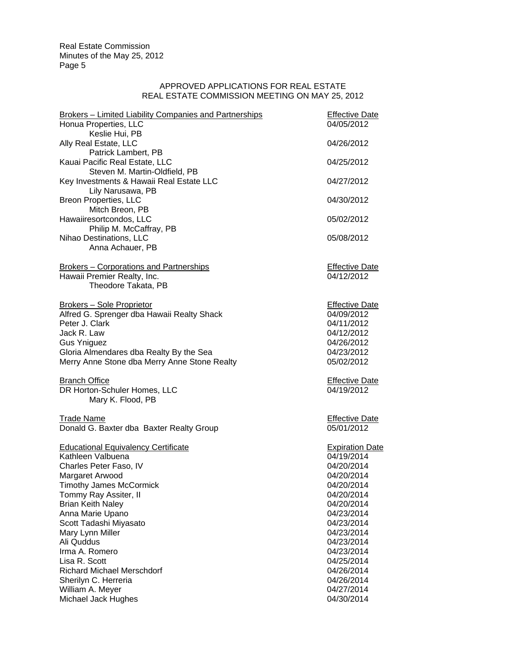#### APPROVED APPLICATIONS FOR REAL ESTATE REAL ESTATE COMMISSION MEETING ON MAY 25, 2012

| Brokers - Limited Liability Companies and Partnerships | <b>Effective Date</b>               |
|--------------------------------------------------------|-------------------------------------|
| Honua Properties, LLC                                  | 04/05/2012                          |
| Keslie Hui, PB                                         |                                     |
| Ally Real Estate, LLC                                  | 04/26/2012                          |
| Patrick Lambert, PB                                    |                                     |
| Kauai Pacific Real Estate, LLC                         | 04/25/2012                          |
| Steven M. Martin-Oldfield, PB                          |                                     |
| Key Investments & Hawaii Real Estate LLC               | 04/27/2012                          |
| Lily Narusawa, PB<br><b>Breon Properties, LLC</b>      | 04/30/2012                          |
| Mitch Breon, PB                                        |                                     |
| Hawaiiresortcondos, LLC                                | 05/02/2012                          |
| Philip M. McCaffray, PB                                |                                     |
| Nihao Destinations, LLC                                | 05/08/2012                          |
| Anna Achauer, PB                                       |                                     |
|                                                        |                                     |
| <b>Brokers - Corporations and Partnerships</b>         | <b>Effective Date</b>               |
| Hawaii Premier Realty, Inc.                            | 04/12/2012                          |
| Theodore Takata, PB                                    |                                     |
| <b>Brokers - Sole Proprietor</b>                       | <b>Effective Date</b>               |
| Alfred G. Sprenger dba Hawaii Realty Shack             | 04/09/2012                          |
| Peter J. Clark                                         | 04/11/2012                          |
| Jack R. Law                                            | 04/12/2012                          |
| <b>Gus Yniguez</b>                                     | 04/26/2012                          |
| Gloria Almendares dba Realty By the Sea                | 04/23/2012                          |
| Merry Anne Stone dba Merry Anne Stone Realty           | 05/02/2012                          |
|                                                        |                                     |
| <b>Branch Office</b><br>DR Horton-Schuler Homes, LLC   | <b>Effective Date</b><br>04/19/2012 |
| Mary K. Flood, PB                                      |                                     |
|                                                        |                                     |
| <b>Trade Name</b>                                      | <b>Effective Date</b>               |
| Donald G. Baxter dba Baxter Realty Group               | 05/01/2012                          |
|                                                        |                                     |
| <b>Educational Equivalency Certificate</b>             | <b>Expiration Date</b>              |
| Kathleen Valbuena                                      | 04/19/2014                          |
| Charles Peter Faso, IV                                 | 04/20/2014                          |
| Margaret Arwood                                        | 04/20/2014                          |
| <b>Timothy James McCormick</b>                         | 04/20/2014                          |
| Tommy Ray Assiter, II                                  | 04/20/2014<br>04/20/2014            |
| <b>Brian Keith Naley</b><br>Anna Marie Upano           | 04/23/2014                          |
| Scott Tadashi Miyasato                                 | 04/23/2014                          |
| Mary Lynn Miller                                       | 04/23/2014                          |
| Ali Quddus                                             | 04/23/2014                          |
| Irma A. Romero                                         | 04/23/2014                          |
| Lisa R. Scott                                          | 04/25/2014                          |
| <b>Richard Michael Merschdorf</b>                      | 04/26/2014                          |
| Sherilyn C. Herreria                                   | 04/26/2014                          |
| William A. Meyer                                       | 04/27/2014                          |
| Michael Jack Hughes                                    | 04/30/2014                          |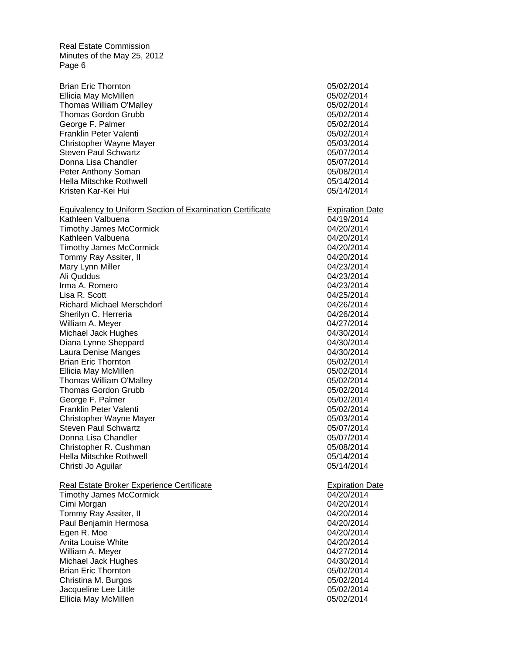Brian Eric Thornton 05/02/2014 Thomas Gordon Grubb 05/02/2014 Equivalency to Uniform Section of Examination Certificate **Expiration Date**  Brian Eric Thornton 05/02/2014 Thomas Gordon Grubb 05/02/2014 Brian Eric Thornton 05/02/2014 Ellicia May McMillen 05/02/2014 Thomas William O'Malley **05/02/2014** 05/02/2014 George F. Palmer 2008 2009 2014 2014 2020 2030 2040 205/02/2014 Franklin Peter Valenti 05/02/2014 Christopher Wayne Mayer 2006 2014 2016 2017 2018 2019 2014 Steven Paul Schwartz **65/07/2014 15/07/2014** Donna Lisa Chandler 05/07/2014 Peter Anthony Soman **Determination** of the US of the US of the US of the US of the US of the US of the US of the U Hella Mitschke Rothwell 05/14/2014 Kristen Kar-Kei Hui **150 kwa tana 1868 (Kristen Kar-Kei Hui 166 kwa tana 176 kwa tana 176 kwa tana 176 kwa tana 176 kwa tana 176 kwa tana 176 kwa tana 176 kwa tana 176 kwa tana 176 kwa tana 177 kwa tana 177 kwa tana 178 kw** Kathleen Valbuena **64/19/2014 CONSERVING CONSERVANCE** Timothy James McCormick 04/20/2014 Kathleen Valbuena 04/20/2014 Timothy James McCormick 04/20/2014 Tommy Ray Assiter, II 04/20/2014 Mary Lynn Miller **Mary 2012** 2014 Ali Quddus 04/23/2014 Irma A. Romero 04/23/2014 Lisa R. Scott 04/25/2014 Richard Michael Merschdorf **04/26/2014** Sherilyn C. Herreria 04/26/2014 William A. Meyer Michael Jack Hughes 04/30/2014 Diana Lynne Sheppard **Diana Lynne Sheppard 04/30/2014** Laura Denise Manges 04/30/2014 Ellicia May McMillen 2008 2009 2014 12:30 2014 Thomas William O'Malley **05/02/2014** George F. Palmer 2006 2007 2014 2016 2020 2020 2014 2020 2030 2040 205/02/2014 Franklin Peter Valenti 05/02/2014 Christopher Wayne Mayer 2008 2014 Steven Paul Schwartz **15/07/2014** 05/07/2014 Donna Lisa Chandler **Donna Lisa Chandler** 2005/07/2014 Christopher R. Cushman 05/08/2014 Hella Mitschke Rothwell 05/14/2014 Christi Jo Aguilar 05/14/2014 Real Estate Broker Experience Certificate **Expiration Date** Expiration Date Timothy James McCormick **Canadian Community 04/20/2014** Cimi Morgan 04/20/2014 Tommy Ray Assiter, II and the control of the control of the 04/20/2014 Paul Benjamin Hermosa **04/20/2014** Egen R. Moe 04/20/2014 Anita Louise White **Contract Contract Contract Contract Contract Contract Contract Contract Contract Contract Contract Contract Contract Contract Contract Contract Contract Contract Contract Contract Contract Contract Cont** William A. Meyer 04/27/2014 Michael Jack Hughes **04/30/2014** Christina M. Burgos 05/02/2014 Jacqueline Lee Little 05/02/2014 Ellicia May McMillen 2008 2009 2014 12:30 2014